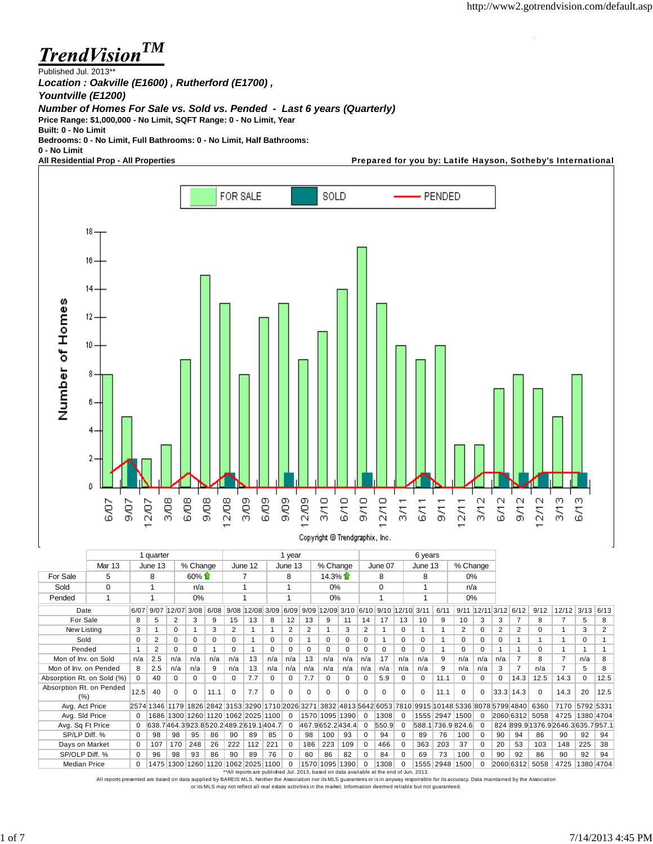**TrendVision<sup>TM</sup>** 

*Location : Oakville (E1600) , Rutherford (E1700) ,*

*Yountville (E1200)*

*Number of Homes For Sale vs. Sold vs. Pended - Last 6 years (Quarterly)* **Price Range: \$1,000,000 - No Limit, SQFT Range: 0 - No Limit, Year Built: 0 - No Limit**

**Bedrooms: 0 - No Limit, Full Bathrooms: 0 - No Limit, Half Bathrooms:**

**0 - No Limit**

**All Residential Prop - All Properties** Prepared for you by: Latife Hayson, Sotheby's International

FOR SALE SOLD PENDED  $18 16 14-$ Number of Homes  $12 10 8\cdot$ 6, 4. 2 O. 3/08 6.08 9.08 12/08 3/09 6/09 9.09 12/09  $3/10$ 6/10 9/10  $2/10$  $12/11$  $3/12$ 6/12  $9/12$ 12/12  $\frac{1}{2}$ 6/07  $12,07$ 6/11  $9/11$  $\mathcal{O}$  $\mathcal{O}$ 9.07 Š š Copyright @ Trendgraphix, Inc.

|                                 | 1 quarter     |                    |                                     |          |          |          |                      |                                    |          | 1 year                  |            |                 |          |                 |                                                                                                           |             | 6 years  |                   |          |          |                 |                |                |                                     |           |      |
|---------------------------------|---------------|--------------------|-------------------------------------|----------|----------|----------|----------------------|------------------------------------|----------|-------------------------|------------|-----------------|----------|-----------------|-----------------------------------------------------------------------------------------------------------|-------------|----------|-------------------|----------|----------|-----------------|----------------|----------------|-------------------------------------|-----------|------|
|                                 | <b>Mar 13</b> |                    | June 13                             |          | % Change |          |                      | June 12                            |          | June 13                 |            | % Change        |          |                 | June 07                                                                                                   |             | June 13  |                   | % Change |          |                 |                |                |                                     |           |      |
| For Sale                        | 5             |                    | 8                                   |          | $60\%$ 1 |          |                      | $\overline{7}$                     |          | 8                       |            | $14.3\%$        |          |                 | 8                                                                                                         |             | 8        |                   | 0%       |          |                 |                |                |                                     |           |      |
| Sold                            | 0             |                    |                                     |          | n/a      |          |                      |                                    |          |                         |            | 0%              |          |                 | 0                                                                                                         |             |          |                   | n/a      |          |                 |                |                |                                     |           |      |
| Pended                          |               |                    |                                     |          | 0%       |          |                      |                                    |          |                         |            | 0%              |          |                 |                                                                                                           |             |          |                   | 0%       |          |                 |                |                |                                     |           |      |
| Date                            |               | 9/07 12/07<br>6/07 |                                     | 3/08     | 6/08     |          | 9/08 12/08 3/09 6/09 |                                    |          | 9/09                    | 12/09 3/10 |                 | 6/10     | 9/10 12/10 3/11 |                                                                                                           |             | 6/11     | 9/11              |          |          | 12/11 3/12 6/12 | 9/12           | $12/12$ 3/13   |                                     | 6/13      |      |
| For Sale                        |               | 8                  | 5                                   | 2        | 3        | 9        | 15                   | 13                                 | 8        | 12                      | 13         | 9               | 11       | 14              | 17                                                                                                        | 13          | 10       | 9                 | 10       | 3        | 3               | $\overline{7}$ | 8              | $\overline{7}$                      | 5         | 8    |
| New Listing                     |               | 3                  |                                     | $\Omega$ |          | 3        | 2                    |                                    |          | 2                       | 2          |                 | 3        | 2               |                                                                                                           | $\mathbf 0$ |          |                   | 2        | $\Omega$ | 2               | $\overline{2}$ | 0              |                                     | 3         | 2    |
| Sold                            |               | $\Omega$           | 2                                   | 0        | $\Omega$ | 0        | $\Omega$             |                                    | $\Omega$ | $\Omega$                |            | $\Omega$        | $\Omega$ | $\Omega$        |                                                                                                           | $\Omega$    | 0        |                   | 0        | $\Omega$ | 0               | 1              |                |                                     | $\Omega$  |      |
| Pended                          |               |                    | 2                                   | $\Omega$ | $\Omega$ |          | $\Omega$             |                                    | $\Omega$ | $\Omega$                | $\Omega$   | $\Omega$        | $\Omega$ | $\mathbf 0$     | $\Omega$                                                                                                  | $\Omega$    | $\Omega$ |                   | $\Omega$ | $\Omega$ |                 | 1              | 0              |                                     |           |      |
| Mon of Inv. on Sold             |               | n/a                | 2.5                                 | n/a      | n/a      | n/a      | n/a                  | 13                                 | n/a      | n/a                     | 13         | n/a             | n/a      | n/a             | 17                                                                                                        | n/a         | n/a      | 9                 | n/a      | n/a      | n/a             | $\overline{7}$ | 8              | $\overline{7}$                      | n/a       | 8    |
| Mon of Inv. on Pended           |               | 8                  | 2.5                                 | n/a      | n/a      | 9        | n/a                  | 13                                 | n/a      | n/a                     | n/a        | n/a             | n/a      | n/a             | n/a                                                                                                       | n/a         | n/a      | 9                 | n/a      | n/a      | 3               | $\overline{7}$ | n/a            | $\overline{7}$                      | 5         | 8    |
| Absorption Rt. on Sold (%)      |               | $\mathbf{0}$       | 40                                  | $\Omega$ | 0        | $\Omega$ | $\mathbf 0$          | 7.7                                | 0        | 0                       | 7.7        | $\mathbf 0$     | 0        | $\mathbf 0$     | 5.9                                                                                                       | 0           | $\Omega$ | 11.1              | $\Omega$ | $\Omega$ | 0               | 14.3           | 12.5           | 14.3                                | $\Omega$  | 12.5 |
| Absorption Rt. on Pended<br>(%) |               | 12.5               | 40                                  | $\Omega$ | $\Omega$ | 11.1     | $\Omega$             | 7.7                                | $\Omega$ | $\Omega$                | $\Omega$   | $\Omega$        | $\Omega$ | $\Omega$        | $\Omega$                                                                                                  | $\Omega$    | $\Omega$ | 11.1              | $\Omega$ | $\Omega$ |                 | $33.3$ 14.3    | $\Omega$       | 14.3                                | 20        | 12.5 |
| Avg. Act Price                  |               |                    |                                     |          |          |          |                      |                                    |          |                         |            |                 |          |                 | 2574 1346 1179 1826 2842 3153 3290 1710 2026 3271 3832 4813 5642 6053 7810 9915 10148 5336 8078 5799 4840 |             |          |                   |          |          |                 |                | 6360           | 7170 5792 5331                      |           |      |
| Avg. Sld Price                  |               | $\mathbf{0}$       |                                     |          |          |          |                      | 1686 1300 1260 1120 1062 2025 1100 |          | $\overline{\mathbf{0}}$ |            | 1570 1095 1390  |          | $\mathbf{0}$    | 1308                                                                                                      | $\Omega$    |          | 1555 2947 1500    |          | $\Omega$ |                 |                | 2060 6312 5058 | 4725                                | 1380 4704 |      |
| Avg. Sq Ft Price                |               | $\Omega$           | 638.7464.3923.8520.2489.2619.1404.7 |          |          |          |                      |                                    |          | 0                       |            | 467.9652.2434.4 |          | $\overline{0}$  | 550.9                                                                                                     | $\mathbf 0$ |          | 588.1 736.9 824.6 |          | - 0      |                 |                |                | 824 899.9 1376.9 2646.3 635.7 957.1 |           |      |
| SP/LP Diff. %                   |               | $\Omega$           | 98                                  | 98       | 95       | 86       | 90                   | 89                                 | 85       | $\Omega$                | 98         | 100             | 93       | $\Omega$        | 94                                                                                                        | $\Omega$    | 89       | 76                | 100      | $\Omega$ | 90              | 94             | 86             | 90                                  | 92        | 94   |
| Days on Market                  |               | $\Omega$           | 107                                 | 170      | 248      | 26       | 222                  | 112                                | 221      | $\Omega$                | 186        | 223             | 109      | $\Omega$        | 466                                                                                                       | $\Omega$    | 363      | 203               | 37       | $\Omega$ | 20              | 53             | 103            | 148                                 | 225       | 38   |
| SP/OLP Diff. %                  |               | $\Omega$           | 96                                  | 98       | 93       | 86       | 90                   | 89                                 | 76       | $\Omega$                | 80         | 86              | 82       | $\Omega$        | 84                                                                                                        | $\Omega$    | 69       | 73                | 100      | $\Omega$ | 90              | 92             | 86             | 90                                  | 92        | 94   |
| Median Price                    |               | $\Omega$           | 1475                                | 300      | 1260     | 1120     |                      | 1062 2025                          | 1100     | $\Omega$                | 1570       | 1095            | 1390     | $\Omega$        | 1308                                                                                                      | $\Omega$    | 1555     | 2948              | 1500     | $\Omega$ |                 | 2060 6312      | 5058           | 4725                                | 1380      | 4704 |

blished Jul. 2013, based on data available at the end of Jun. 2013.

All reports presented are based on data supplied by BAREIS MLS. Neither the Association nor its MLS guarantees or is in anyway responsible for its accuracy. Data maintained by the Association<br>or its MLS may not reflect all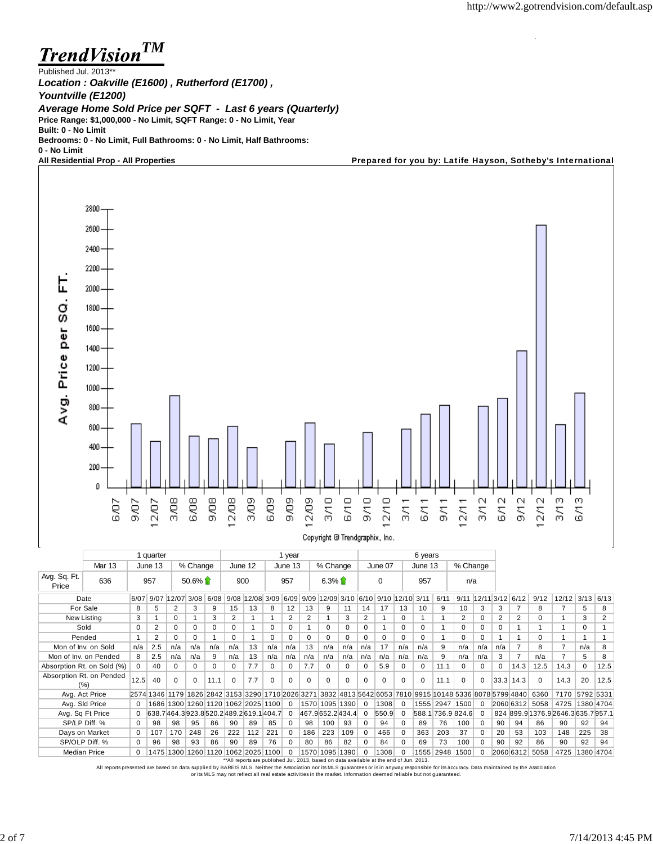**TrendVision<sup>TM</sup>** 

## Published Jul. 2013\*\* *Location : Oakville (E1600) , Rutherford (E1700) , Yountville (E1200) Average Home Sold Price per SQFT - Last 6 years (Quarterly)* **Price Range: \$1,000,000 - No Limit, SQFT Range: 0 - No Limit, Year**

**Built: 0 - No Limit Bedrooms: 0 - No Limit, Full Bathrooms: 0 - No Limit, Half Bathrooms: 0 - No Limit**

**All Residential Prop - All Properties** Prepared for you by: Latife Hayson, Sotheby's International



| <b>Mar 13</b>                   |          |                   |                 |           |      |             |                           |                |                |                                                                                                                        |                   |          |                       |                                           |             |               |      |                                                                                 |           |                                                        |                |          |                                                                                                                                                                       |                        |                                                                                            |
|---------------------------------|----------|-------------------|-----------------|-----------|------|-------------|---------------------------|----------------|----------------|------------------------------------------------------------------------------------------------------------------------|-------------------|----------|-----------------------|-------------------------------------------|-------------|---------------|------|---------------------------------------------------------------------------------|-----------|--------------------------------------------------------|----------------|----------|-----------------------------------------------------------------------------------------------------------------------------------------------------------------------|------------------------|--------------------------------------------------------------------------------------------|
| 636                             |          | $50.6\%$ 1<br>957 |                 |           |      |             |                           |                |                |                                                                                                                        | $6.3\%$           |          |                       | 0                                         |             | 957           |      |                                                                                 |           |                                                        |                |          |                                                                                                                                                                       |                        |                                                                                            |
| Date                            |          |                   |                 |           |      |             |                           |                |                |                                                                                                                        |                   |          |                       |                                           |             |               | 6/11 |                                                                                 |           |                                                        |                | 9/12     |                                                                                                                                                                       |                        |                                                                                            |
| For Sale                        | 8        | 5                 | 2               | 3         | 9    | 15          | 13                        | 8              | 12             | 13                                                                                                                     | 9                 | 11       | 14                    | 17                                        | 13          | 10            | 9    | 10                                                                              | 3         | 3                                                      | 7              | 8        |                                                                                                                                                                       | 5                      | 8                                                                                          |
| New Listing                     | 3        |                   | 0               |           | 3    | 2           |                           |                | $\overline{2}$ | 2                                                                                                                      |                   | 3        | 2                     |                                           | 0           |               |      | 2                                                                               | 0         | 2                                                      | 2              | $\Omega$ |                                                                                                                                                                       | 3                      | $\overline{2}$                                                                             |
| Sold                            | 0        | 2                 | 0               | 0         | 0    | $\mathbf 0$ |                           | 0              | 0              |                                                                                                                        | 0                 | 0        | 0                     |                                           | 0           | 0             |      | $\mathbf 0$                                                                     | 0         | 0                                                      |                |          |                                                                                                                                                                       | 0                      |                                                                                            |
| Pended                          |          | 2                 | $\Omega$        | $\Omega$  |      | $\Omega$    |                           | $\Omega$       | 0              | $\Omega$                                                                                                               | 0                 | $\Omega$ | $\Omega$              | $\Omega$                                  | $\Omega$    | $\Omega$      |      | $\Omega$                                                                        | 0         |                                                        |                | 0        |                                                                                                                                                                       |                        |                                                                                            |
| Mon of Inv. on Sold             | n/a      | 2.5               | n/a             | n/a       | n/a  | n/a         | 13                        | n/a            | n/a            | 13                                                                                                                     | n/a               | n/a      | n/a                   | 17                                        | n/a         | n/a           | 9    | n/a                                                                             | n/a       | n/a                                                    |                | 8        | 7                                                                                                                                                                     | n/a                    | 8                                                                                          |
| Mon of Inv. on Pended           | 8        | 2.5               | n/a             | n/a       | 9    | n/a         | 13                        | n/a            | n/a            | n/a                                                                                                                    | n/a               | n/a      | n/a                   | n/a                                       | n/a         | n/a           | 9    | n/a                                                                             | n/a       | 3                                                      | $\overline{7}$ | n/a      |                                                                                                                                                                       | 5                      | 8                                                                                          |
| Absorption Rt. on Sold (%)      | 0        | 40                | 0               | 0         | 0    | 0           | 7.7                       | 0              | 0              | 7.7                                                                                                                    | 0                 | 0        | $\Omega$              | 5.9                                       | 0           | 0             | 11.1 | $\Omega$                                                                        | 0         | 0                                                      |                | 12.5     | 14.3                                                                                                                                                                  | $\Omega$               | 12.5                                                                                       |
| Absorption Rt. on Pended<br>(%) |          | 40                | $\Omega$        | $\Omega$  | 11.1 | $\Omega$    | 7.7                       | 0              | $\Omega$       | $\Omega$                                                                                                               | $\Omega$          | $\Omega$ | $\Omega$              | $\Omega$                                  | $\Omega$    | $\Omega$      | 11.1 | $\Omega$                                                                        | $\Omega$  |                                                        |                | 0        | 14.3                                                                                                                                                                  | 20                     | 12.5                                                                                       |
| Avg. Act Price                  |          |                   |                 |           |      |             |                           |                |                |                                                                                                                        |                   |          |                       |                                           |             |               |      |                                                                                 |           |                                                        |                |          |                                                                                                                                                                       |                        |                                                                                            |
| Avg. Sld Price                  | $\Omega$ |                   |                 |           |      |             |                           |                | $\Omega$       |                                                                                                                        |                   |          | $\mathbf 0$           |                                           | $\Omega$    |               |      |                                                                                 |           |                                                        |                |          | 4725                                                                                                                                                                  |                        |                                                                                            |
| Avg. Sq Ft Price                | $\Omega$ |                   |                 |           |      |             |                           |                | $\Omega$       |                                                                                                                        |                   |          | $\mathbf 0$           |                                           | $\mathbf 0$ |               |      |                                                                                 | $\Omega$  |                                                        |                |          |                                                                                                                                                                       |                        |                                                                                            |
| SP/LP Diff. %                   | 0        | 98                | 98              | 95        | 86   | 90          | 89                        | 85             | $\Omega$       | 98                                                                                                                     | 100               | 93       | $\Omega$              | 94                                        | 0           | 89            | 76   | 100                                                                             |           | 90                                                     | 94             | 86       | 90                                                                                                                                                                    | 92                     | 94                                                                                         |
| Days on Market                  | $\Omega$ | 107               | 170             | 248       | 26   | 222         | 112                       | 221            | $\Omega$       |                                                                                                                        | 223               | 109      | $\Omega$              | 466                                       | $\Omega$    | 363           | 203  | 37                                                                              |           | 20                                                     | 53             | 103      | 148                                                                                                                                                                   | 225                    | 38                                                                                         |
| SP/OLP Diff. %                  | $\Omega$ | 96                | 98              | 93        | 86   | 90          | 89                        | 76             | 0              | 80                                                                                                                     | 86                | 82       | $\Omega$              | 84                                        | $\Omega$    | 69            | 73   | 100                                                                             |           | 90                                                     | 92             | 86       | 90                                                                                                                                                                    | 92                     | 94                                                                                         |
| <b>Median Price</b>             | $\Omega$ |                   |                 |           |      |             |                           |                |                |                                                                                                                        |                   |          | $\mathbf 0$           | 1308                                      | $\Omega$    |               |      | 1500                                                                            |           |                                                        |                | 5058     | 4725                                                                                                                                                                  |                        | 380 4704                                                                                   |
|                                 |          |                   | June 13<br>12.5 | 1 quarter |      | % Change    | 6/07 9/07 12/07 3/08 6/08 | June 12<br>900 |                | 957<br>1686 1300 1260 1120 1062 2025 1100<br>638.7464.3923.8520.2489.2619.1404.7<br>1475 1300 1260 1120 1062 2025 1100 | 1 year<br>June 13 | 186      | % Change<br>1570 1095 | 1570 1095 1390<br>467.9652.2434.4<br>1390 | June 07     | 1308<br>550.9 |      | 6 years<br>June 13<br>9/08 12/08 3/09 6/09 9/09 12/09 3/10 6/10 9/10 12/10 3/11 | 1555 2948 | % Change<br>n/a<br>1555 2947 1500<br>588.1 736.9 824.6 |                |          | 9/11 12/11 3/12 6/12<br>14.3<br>$33.3$ 14.3<br>2574 1346 1179 1826 2842 3153 3290 1710 2026 3271 3832 4813 5642 6053 7810 9915 10148 5336 8078 5799 4840<br>2060 6312 | 6360<br>2060 6312 5058 | $12/12$ 3/13 6/13<br>5792 5331<br>7170<br>1380 4704<br>824 899.9 1376.9 2646.3 635.7 957.1 |

\*\*All reports are published Jul. 2013, based on data available at the end of Jun. 2013.

All reports presented are based on data supplied by BAREIS MLS. Neither the Association nor its MLS guarantees or is in anyway responsible for its accuracy. Data maintained by the Association<br>or its MLS may not reflect all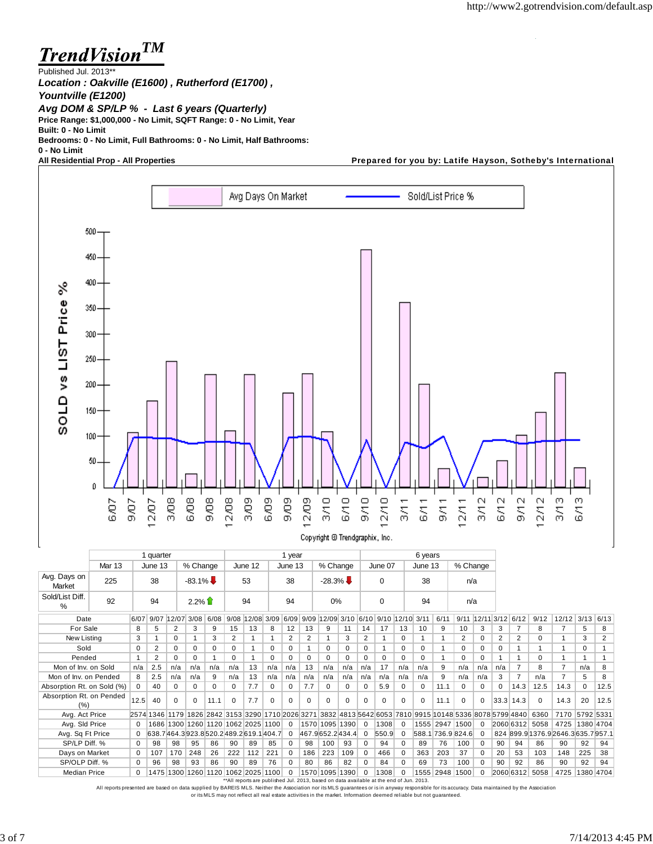*TM*

*Location : Oakville (E1600) , Rutherford (E1700) , Yountville (E1200)*

*Avg DOM & SP/LP % - Last 6 years (Quarterly)*

**Price Range: \$1,000,000 - No Limit, SQFT Range: 0 - No Limit, Year Built: 0 - No Limit**

**Bedrooms: 0 - No Limit, Full Bathrooms: 0 - No Limit, Half Bathrooms: 0 - No Limit**

**All Residential Prop - All Properties** Prepared for you by: Latife Hayson, Sotheby's International



Median Price 0 1475 1300 1260 1120 1062 2025 1100 0 1570 1095 1390 0 1308 0 1555 2948 1500 0 2060 6312 5058 4725 1380 4704 \*\*All reports are published Jul. 2013, based on data available at the end of Jun. 2013.

All reports presented are based on data supplied by BAREIS MLS. Neither the Association nor its MLS guarantees or is in anyway responsible for its accuracy. Data maintained by the Association

Days on Market 0 107 170 248 26 222 112 221 0 186 223 109 0 466 0 363 203 37 0 20 53 103 148 225 38 SP/OLP Diff. % 0 96 98 93 86 90 89 76 0 80 86 82 0 84 0 69 73 100 0 90 92 86 90 92 94

or its MLS may not reflect all real estate activities in the market. Information deemed reliable but not guaranteed.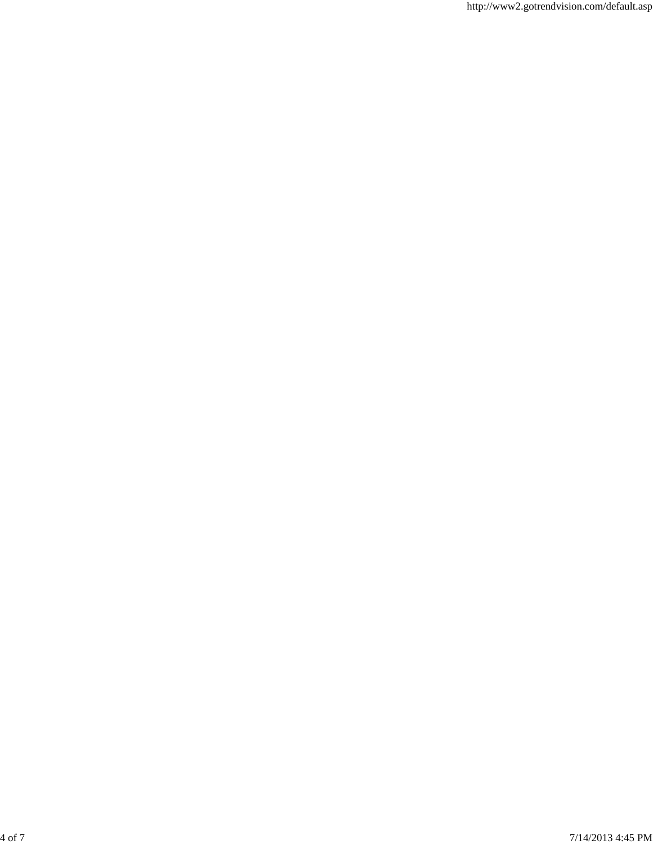http://www2.gotrendvision.com/default.asp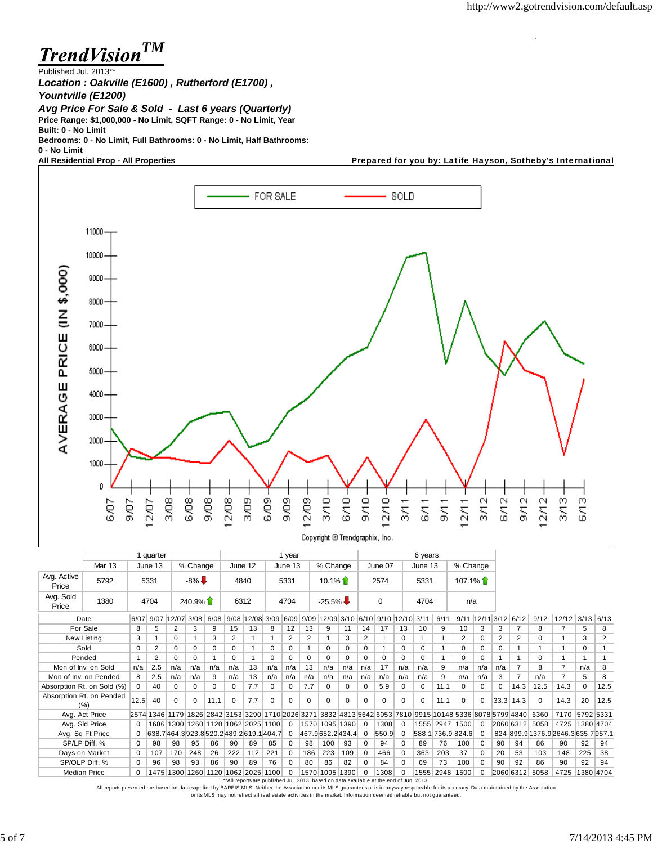**TrendVision<sup>TM</sup>** 

*Location : Oakville (E1600) , Rutherford (E1700) , Yountville (E1200)*

*Avg Price For Sale & Sold - Last 6 years (Quarterly)* **Price Range: \$1,000,000 - No Limit, SQFT Range: 0 - No Limit, Year**

**Built: 0 - No Limit Bedrooms: 0 - No Limit, Full Bathrooms: 0 - No Limit, Half Bathrooms: 0 - No Limit**

**All Residential Prop - All Properties** Prepared for you by: Latife Hayson, Sotheby's International



|                      |        | quarter |          |         | 1 vear  |            | 6 vears |         |          |  |  |  |  |  |
|----------------------|--------|---------|----------|---------|---------|------------|---------|---------|----------|--|--|--|--|--|
|                      | Mar 13 | June 13 | % Change | June 12 | June 13 | % Change   | June 07 | June 13 | % Change |  |  |  |  |  |
| Avg. Active<br>Price | 5792   | 5331    | $-8\%$   | 4840    | 5331    | $10.1\%$ 1 | 2574    | 5331    | 107.1%   |  |  |  |  |  |
| Avg. Sold<br>Price   | 1380   | 4704    | 240.9%   | 6312    | 4704    | $-25.5\%$  |         | 4704    | n/a      |  |  |  |  |  |

| Date                            | 6/07     |     |           |          | 9/07 12/07 3/08 6/08 9/08 12/08 3/09 6/09 9/09 12/09 3/10 6/10 9/10 12/10 3/11 |          |     |          |             |          |                 |          |          |       |          |      | 6/11                                                                                                      | 9/11     |          |          | 12/11 3/12 6/12 | 9/12     | $12/12$ 3/13 6/13               |     |           |
|---------------------------------|----------|-----|-----------|----------|--------------------------------------------------------------------------------|----------|-----|----------|-------------|----------|-----------------|----------|----------|-------|----------|------|-----------------------------------------------------------------------------------------------------------|----------|----------|----------|-----------------|----------|---------------------------------|-----|-----------|
| For Sale                        | 8        | 5   |           | 3        |                                                                                | 15       | 13  | 8        | 12          | 13       |                 | 11       | 14       | 17    | 13       | 10   | 9                                                                                                         | 10       | 3        | 3        |                 | 8        |                                 | 5   | 8         |
| New Listing                     | 3        |     | 0         |          | 3                                                                              | 2        |     |          | 2           |          |                 | 3        |          |       |          |      |                                                                                                           | 2        |          | 2        | 2               |          |                                 | 3   |           |
| Sold                            | $\Omega$ | 2   |           | $\Omega$ |                                                                                | $\Omega$ |     | $\Omega$ | 0           |          |                 | 0        | $\Omega$ |       | $\Omega$ | 0    |                                                                                                           | $\Omega$ | 0        | $\Omega$ |                 |          |                                 | 0   |           |
| Pended                          |          | 2   |           | $\Omega$ |                                                                                | $\Omega$ |     | $\Omega$ | $\Omega$    | $\Omega$ |                 | 0        | $\Omega$ | 0     | $\Omega$ | 0    |                                                                                                           | $\Omega$ |          |          |                 | $\Omega$ |                                 |     |           |
| Mon of Inv. on Sold             | n/a      | 2.5 | n/a       | n/a      | n/a                                                                            | n/a      | 13  | n/a      | n/a         | 13       | n/a             | n/a      | n/a      | 17    | n/a      | n/a  | 9.                                                                                                        | n/a      | n/a      | n/a      |                 | 8        |                                 | n/a | 8         |
| Mon of Inv. on Pended           | 8        | 2.5 | n/a       | n/a      |                                                                                | n/a      | 13  | n/a      | n/a         | n/a      | n/a             | n/a      | n/a      | n/a   | n/a      | n/a  | 9                                                                                                         | n/a      | n/a      | 3        |                 | n/a      |                                 | 5   | 8         |
| Absorption Rt. on Sold (%)      |          | 40  |           | $\Omega$ |                                                                                | $\Omega$ | 7.7 | 0        | $\Omega$    | 7.7      |                 | 0        |          | 5.9   |          |      | 11.1                                                                                                      | $\Omega$ |          | 0        | 14.3            | 12.5     | 14.3                            | 0   | 12.5      |
| Absorption Rt. on Pended<br>(%) | 12.5     | 40  |           | $\Omega$ | 11.1                                                                           | $\Omega$ | 7.7 | $\Omega$ | $\Omega$    | $\Omega$ | $\Omega$        | $\Omega$ | $\Omega$ | 0     | $\Omega$ |      | 11.1                                                                                                      | $\Omega$ | $\Omega$ | 33.3     | 14.3            | $\Omega$ | 14.3                            | 20  | 12.5      |
| Avg. Act Price                  |          |     |           |          |                                                                                |          |     |          |             |          |                 |          |          |       |          |      | 2574 1346 1179 1826 2842 3153 3290 1710 2026 3271 3832 4813 5642 6053 7810 9915 10148 5336 8078 5799 4840 |          |          |          |                 | 6360     | 7170                            |     | 5792 5331 |
| Avg. Sld Price                  | $\Omega$ |     |           |          | 1686 1300 1260 1120 1062 2025 1100                                             |          |     |          | $\mathbf 0$ |          | 1570 1095 1390  |          | 0        | 1308  |          |      | 1555 2947 1500                                                                                            |          |          |          | 2060 6312       | 5058     | 4725                            |     | 1380 4704 |
| Avg. Sq Ft Price                |          |     |           |          | 0 638.7464.3923.8520.2489.2619.1404.7                                          |          |     |          | $\Omega$    |          | 467.9652.2434.4 |          | 0        | 550.9 | $\Omega$ |      | 588.1 736.9 824.6                                                                                         |          |          |          |                 |          | 824 899.91376.92646.3635.7957.1 |     |           |
| SP/LP Diff. %                   | $\Omega$ | 98  | 98        | 95       | 86                                                                             | 90       | 89  | 85       | $\Omega$    | 98       | 100             | 93       | $\Omega$ | 94    |          | 89   | 76                                                                                                        | 100      |          | 90       | 94              | 86       | 90                              | 92  | 94        |
| Days on Market                  | 0        | 107 | 170       | 248      | 26                                                                             | 222      | 112 | 221      | $\Omega$    | 186      | 223             | 109      | $\Omega$ | 466   |          | 363  | 203                                                                                                       | 37       |          | 20       | 53              | 103      | 148                             | 225 | 38        |
| SP/OLP Diff. %                  | 0        | 96  | 98        | 93       | 86                                                                             | 90       | 89  | 76       | $\Omega$    | 80       | 86              | 82       |          | 84    |          | 69   | 73                                                                                                        | 100      |          | 90       | 92              | 86       | 90                              | 92  | 94        |
| <b>Median Price</b>             | 0        |     | 1475 1300 |          | 1260 1120 1062 2025                                                            |          |     | 1100     |             |          | 570 1095 1390   |          | $\Omega$ | 1308  |          | 1555 | 2948                                                                                                      | 1500     |          |          | 2060 6312       | 5058     | 4725                            |     | 1380 4704 |

\*\*All reports are published Jul. 2013, based on data available at the end of Jun. 2013.

All reports presented are based on data supplied by BAREIS MLS. Neither the Association nor its MLS guarantees or is in anyway responsible for its accuracy. Data maintained by the Association<br>or its MLS may not reflect all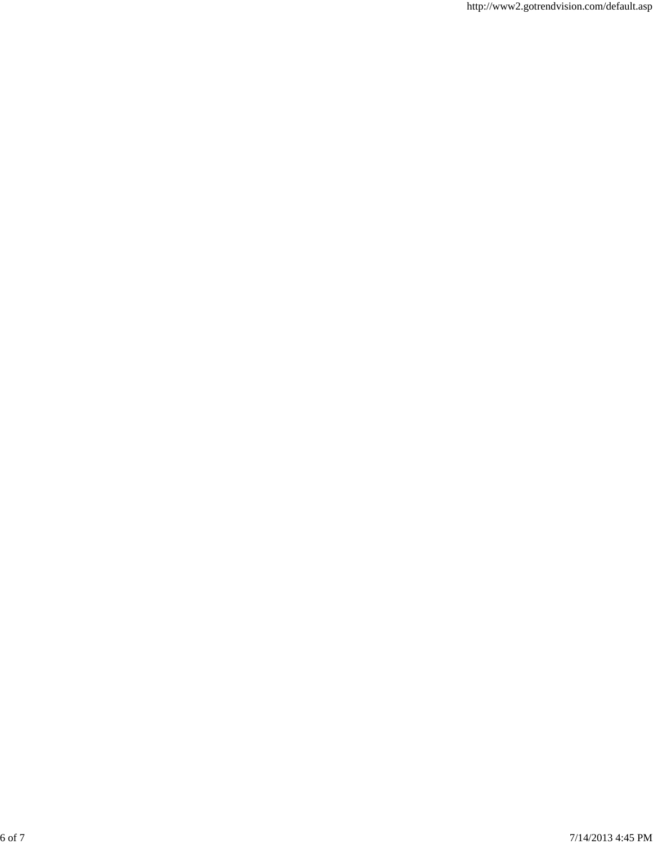http://www2.gotrendvision.com/default.asp